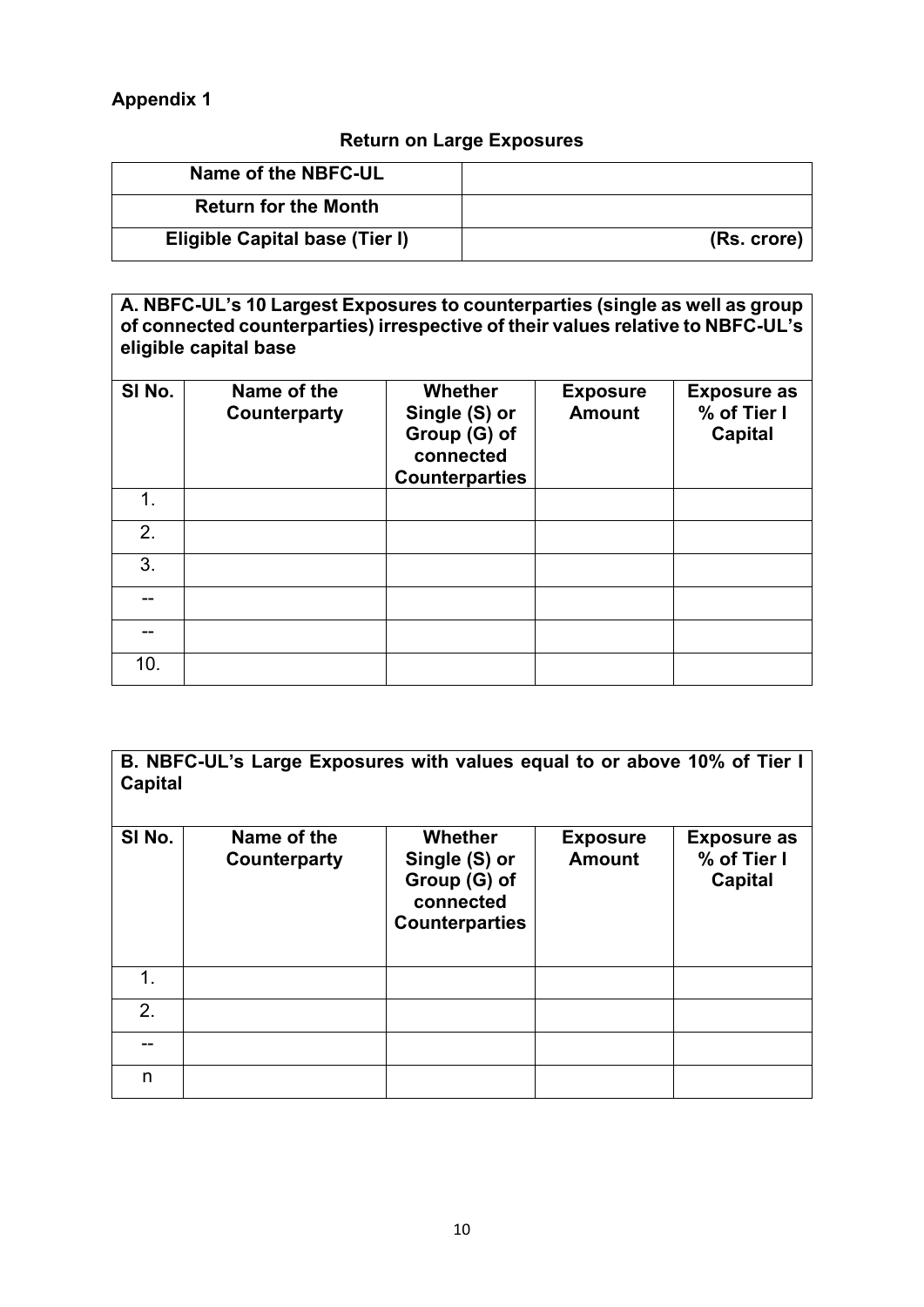## **Return on Large Exposures**

| (Rs. crore) |
|-------------|
|             |

**A. NBFC-UL's 10 Largest Exposures to counterparties (single as well as group of connected counterparties) irrespective of their values relative to NBFC-UL's eligible capital base**

| SI No.          | Name of the<br><b>Counterparty</b> | <b>Whether</b><br>Single (S) or<br>Group (G) of<br>connected<br><b>Counterparties</b> | <b>Exposure</b><br><b>Amount</b> | <b>Exposure as</b><br>% of Tier I<br><b>Capital</b> |
|-----------------|------------------------------------|---------------------------------------------------------------------------------------|----------------------------------|-----------------------------------------------------|
| 1.              |                                    |                                                                                       |                                  |                                                     |
| 2.              |                                    |                                                                                       |                                  |                                                     |
| 3.              |                                    |                                                                                       |                                  |                                                     |
|                 |                                    |                                                                                       |                                  |                                                     |
|                 |                                    |                                                                                       |                                  |                                                     |
| 10 <sub>1</sub> |                                    |                                                                                       |                                  |                                                     |

**B. NBFC-UL's Large Exposures with values equal to or above 10% of Tier I Capital** 

| SI No. | Name of the<br>Counterparty | <b>Whether</b><br>Single (S) or<br>Group (G) of<br>connected<br><b>Counterparties</b> | <b>Exposure</b><br><b>Amount</b> | <b>Exposure as</b><br>% of Tier I<br><b>Capital</b> |
|--------|-----------------------------|---------------------------------------------------------------------------------------|----------------------------------|-----------------------------------------------------|
| 1.     |                             |                                                                                       |                                  |                                                     |
| 2.     |                             |                                                                                       |                                  |                                                     |
|        |                             |                                                                                       |                                  |                                                     |
| n      |                             |                                                                                       |                                  |                                                     |